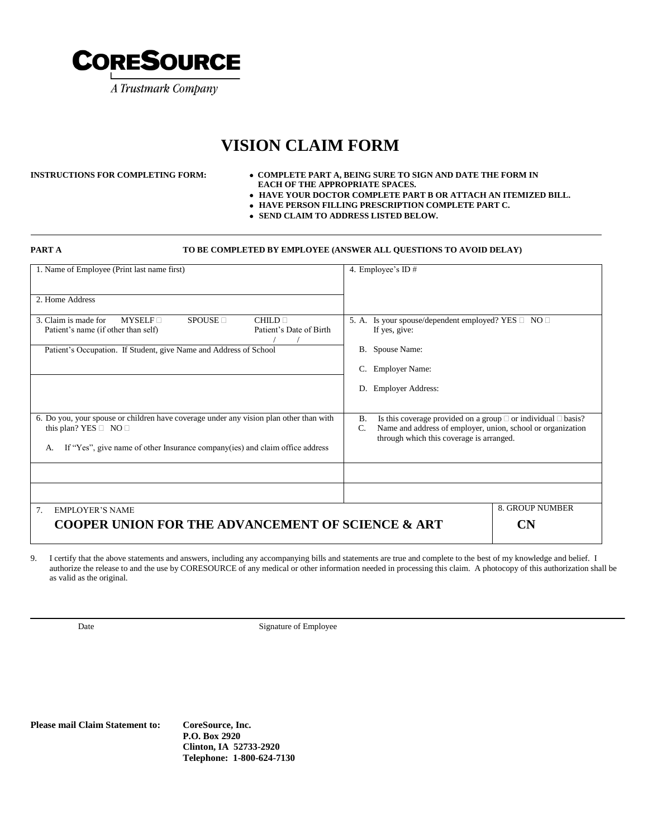

# **VISION CLAIM FORM**

#### **INSTRUCTIONS FOR COMPLETING FORM: COMPLETE PART A, BEING SURE TO SIGN AND DATE THE FORM IN EACH OF THE APPROPRIATE SPACES.**

- **HAVE YOUR DOCTOR COMPLETE PART B OR ATTACH AN ITEMIZED BILL.**
- **HAVE PERSON FILLING PRESCRIPTION COMPLETE PART C.**
- **SEND CLAIM TO ADDRESS LISTED BELOW.**

#### **PART A TO BE COMPLETED BY EMPLOYEE (ANSWER ALL QUESTIONS TO AVOID DELAY)**

| 1. Name of Employee (Print last name first)                                                                                                          | 4. Employee's ID $#$                                                                                                                                                                                               |
|------------------------------------------------------------------------------------------------------------------------------------------------------|--------------------------------------------------------------------------------------------------------------------------------------------------------------------------------------------------------------------|
| 2. Home Address                                                                                                                                      |                                                                                                                                                                                                                    |
| 3. Claim is made for<br>$MYSELF \sqcap$<br>$SPOLISE \square$<br>CHILD <sub>1</sub><br>Patient's Date of Birth<br>Patient's name (if other than self) | 5. A. Is your spouse/dependent employed? YES $\Box$ NO $\Box$<br>If yes, give:                                                                                                                                     |
| Patient's Occupation. If Student, give Name and Address of School                                                                                    | B. Spouse Name:                                                                                                                                                                                                    |
|                                                                                                                                                      | <b>Employer Name:</b><br>C.                                                                                                                                                                                        |
|                                                                                                                                                      | D. Employer Address:                                                                                                                                                                                               |
| 6. Do you, your spouse or children have coverage under any vision plan other than with<br>this plan? YES $\Box$ NO $\Box$                            | <b>B.</b><br>Is this coverage provided on a group $\Box$ or individual $\Box$ basis?<br>Name and address of employer, union, school or organization<br>$\mathcal{C}$ .<br>through which this coverage is arranged. |
| If "Yes", give name of other Insurance company(ies) and claim office address<br>А.                                                                   |                                                                                                                                                                                                                    |
|                                                                                                                                                      |                                                                                                                                                                                                                    |
|                                                                                                                                                      |                                                                                                                                                                                                                    |
| 7.<br><b>EMPLOYER'S NAME</b>                                                                                                                         | <b>8. GROUP NUMBER</b>                                                                                                                                                                                             |
| <b>COOPER UNION FOR THE ADVANCEMENT OF SCIENCE &amp; ART</b>                                                                                         | CN)                                                                                                                                                                                                                |

9. I certify that the above statements and answers, including any accompanying bills and statements are true and complete to the best of my knowledge and belief. I authorize the release to and the use by CORESOURCE of any medical or other information needed in processing this claim. A photocopy of this authorization shall be as valid as the original.

Date Signature of Employee

#### **Please mail Claim Statement to: CoreSource, Inc.**

**P.O. Box 2920 Clinton, IA 52733-2920 Telephone: 1-800-624-7130**